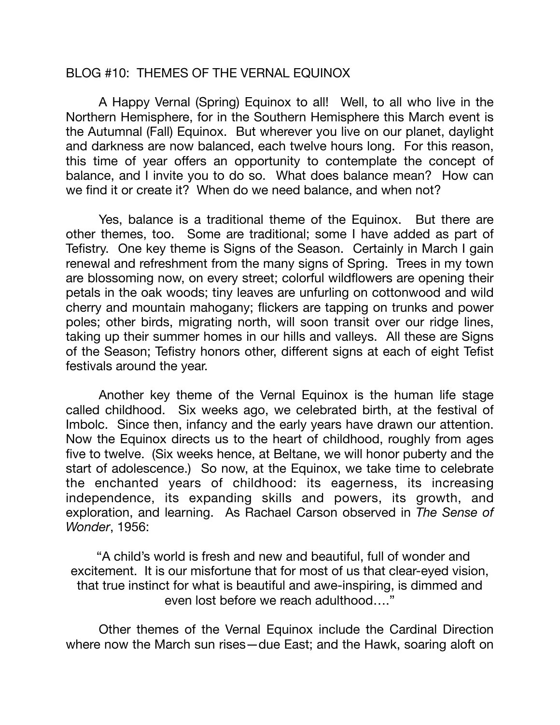## BLOG #10: THEMES OF THE VERNAL EQUINOX

A Happy Vernal (Spring) Equinox to all! Well, to all who live in the Northern Hemisphere, for in the Southern Hemisphere this March event is the Autumnal (Fall) Equinox. But wherever you live on our planet, daylight and darkness are now balanced, each twelve hours long. For this reason, this time of year offers an opportunity to contemplate the concept of balance, and I invite you to do so. What does balance mean? How can we find it or create it? When do we need balance, and when not?

Yes, balance is a traditional theme of the Equinox. But there are other themes, too. Some are traditional; some I have added as part of Tefistry. One key theme is Signs of the Season. Certainly in March I gain renewal and refreshment from the many signs of Spring. Trees in my town are blossoming now, on every street; colorful wildflowers are opening their petals in the oak woods; tiny leaves are unfurling on cottonwood and wild cherry and mountain mahogany; flickers are tapping on trunks and power poles; other birds, migrating north, will soon transit over our ridge lines, taking up their summer homes in our hills and valleys. All these are Signs of the Season; Tefistry honors other, different signs at each of eight Tefist festivals around the year.

Another key theme of the Vernal Equinox is the human life stage called childhood. Six weeks ago, we celebrated birth, at the festival of Imbolc. Since then, infancy and the early years have drawn our attention. Now the Equinox directs us to the heart of childhood, roughly from ages five to twelve. (Six weeks hence, at Beltane, we will honor puberty and the start of adolescence.) So now, at the Equinox, we take time to celebrate the enchanted years of childhood: its eagerness, its increasing independence, its expanding skills and powers, its growth, and exploration, and learning. As Rachael Carson observed in *The Sense of Wonder*, 1956:

 "A child's world is fresh and new and beautiful, full of wonder and excitement. It is our misfortune that for most of us that clear-eyed vision, that true instinct for what is beautiful and awe-inspiring, is dimmed and even lost before we reach adulthood…."

Other themes of the Vernal Equinox include the Cardinal Direction where now the March sun rises—due East; and the Hawk, soaring aloft on